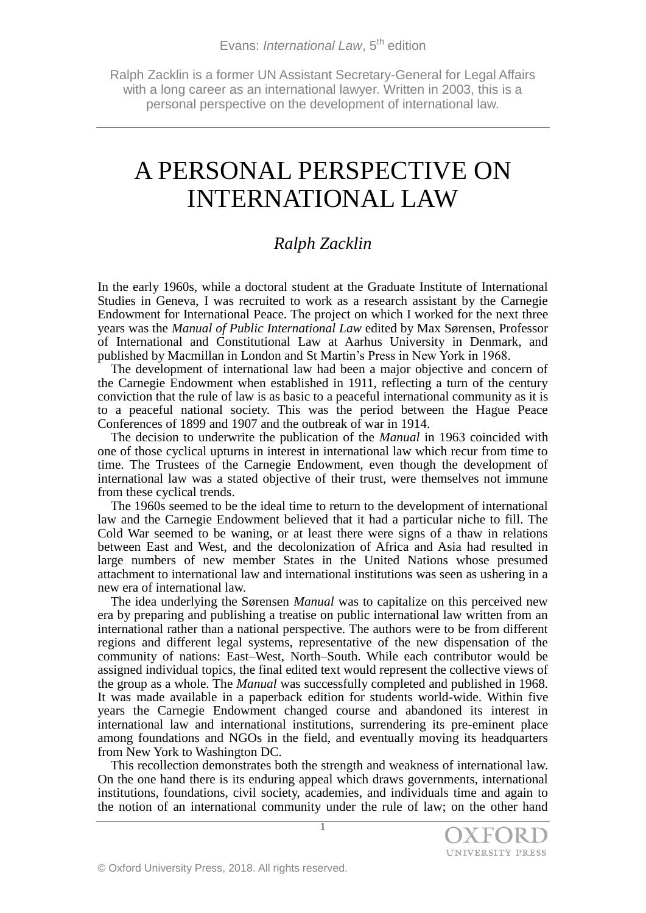Ralph Zacklin is a former UN Assistant Secretary-General for Legal Affairs with a long career as an international lawyer. Written in 2003, this is a personal perspective on the development of international law.

## A PERSONAL PERSPECTIVE ON INTERNATIONAL LAW

## *Ralph Zacklin*

In the early 1960s, while a doctoral student at the Graduate Institute of International Studies in Geneva, I was recruited to work as a research assistant by the Carnegie Endowment for International Peace. The project on which I worked for the next three years was the *Manual of Public International Law* edited by Max Sørensen, Professor of International and Constitutional Law at Aarhus University in Denmark, and published by Macmillan in London and St Martin's Press in New York in 1968.

The development of international law had been a major objective and concern of the Carnegie Endowment when established in 1911, reflecting a turn of the century conviction that the rule of law is as basic to a peaceful international community as it is to a peaceful national society. This was the period between the Hague Peace Conferences of 1899 and 1907 and the outbreak of war in 1914.

The decision to underwrite the publication of the *Manual* in 1963 coincided with one of those cyclical upturns in interest in international law which recur from time to time. The Trustees of the Carnegie Endowment, even though the development of international law was a stated objective of their trust, were themselves not immune from these cyclical trends.

The 1960s seemed to be the ideal time to return to the development of international law and the Carnegie Endowment believed that it had a particular niche to fill. The Cold War seemed to be waning, or at least there were signs of a thaw in relations between East and West, and the decolonization of Africa and Asia had resulted in large numbers of new member States in the United Nations whose presumed attachment to international law and international institutions was seen as ushering in a new era of international law.

The idea underlying the Sørensen *Manual* was to capitalize on this perceived new era by preparing and publishing a treatise on public international law written from an international rather than a national perspective. The authors were to be from different regions and different legal systems, representative of the new dispensation of the community of nations: East–West, North–South. While each contributor would be assigned individual topics, the final edited text would represent the collective views of the group as a whole. The *Manual* was successfully completed and published in 1968. It was made available in a paperback edition for students world-wide. Within five years the Carnegie Endowment changed course and abandoned its interest in international law and international institutions, surrendering its pre-eminent place among foundations and NGOs in the field, and eventually moving its headquarters from New York to Washington DC.

This recollection demonstrates both the strength and weakness of international law. On the one hand there is its enduring appeal which draws governments, international institutions, foundations, civil society, academies, and individuals time and again to the notion of an international community under the rule of law; on the other hand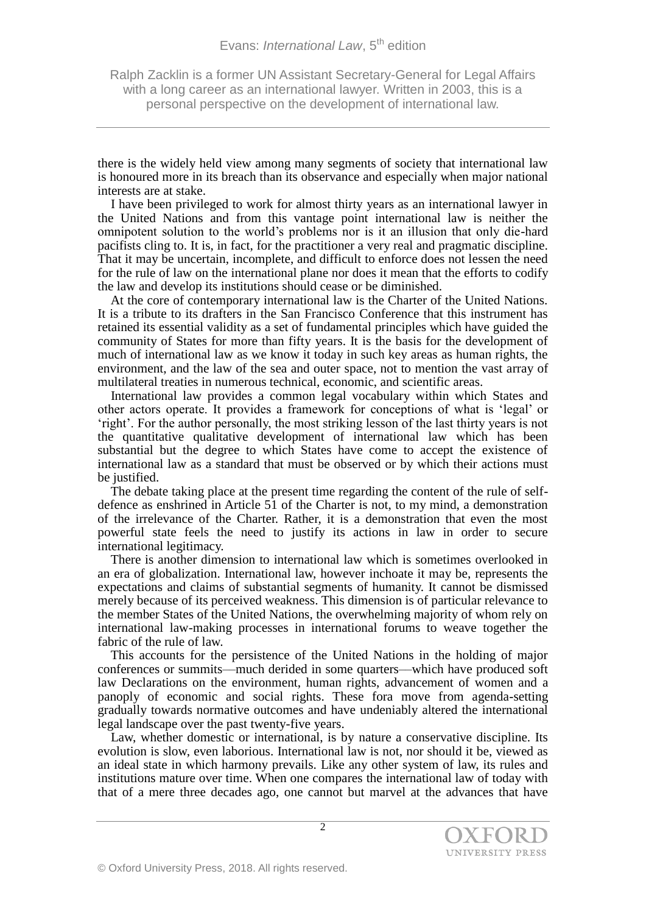Ralph Zacklin is a former UN Assistant Secretary-General for Legal Affairs with a long career as an international lawyer. Written in 2003, this is a personal perspective on the development of international law.

there is the widely held view among many segments of society that international law is honoured more in its breach than its observance and especially when major national interests are at stake.

I have been privileged to work for almost thirty years as an international lawyer in the United Nations and from this vantage point international law is neither the omnipotent solution to the world's problems nor is it an illusion that only die-hard pacifists cling to. It is, in fact, for the practitioner a very real and pragmatic discipline. That it may be uncertain, incomplete, and difficult to enforce does not lessen the need for the rule of law on the international plane nor does it mean that the efforts to codify the law and develop its institutions should cease or be diminished.

At the core of contemporary international law is the Charter of the United Nations. It is a tribute to its drafters in the San Francisco Conference that this instrument has retained its essential validity as a set of fundamental principles which have guided the community of States for more than fifty years. It is the basis for the development of much of international law as we know it today in such key areas as human rights, the environment, and the law of the sea and outer space, not to mention the vast array of multilateral treaties in numerous technical, economic, and scientific areas.

International law provides a common legal vocabulary within which States and other actors operate. It provides a framework for conceptions of what is 'legal' or 'right'. For the author personally, the most striking lesson of the last thirty years is not the quantitative qualitative development of international law which has been substantial but the degree to which States have come to accept the existence of international law as a standard that must be observed or by which their actions must be justified.

The debate taking place at the present time regarding the content of the rule of selfdefence as enshrined in Article 51 of the Charter is not, to my mind, a demonstration of the irrelevance of the Charter. Rather, it is a demonstration that even the most powerful state feels the need to justify its actions in law in order to secure international legitimacy.

There is another dimension to international law which is sometimes overlooked in an era of globalization. International law, however inchoate it may be, represents the expectations and claims of substantial segments of humanity. It cannot be dismissed merely because of its perceived weakness. This dimension is of particular relevance to the member States of the United Nations, the overwhelming majority of whom rely on international law-making processes in international forums to weave together the fabric of the rule of law.

This accounts for the persistence of the United Nations in the holding of major conferences or summits––much derided in some quarters––which have produced soft law Declarations on the environment, human rights, advancement of women and a panoply of economic and social rights. These fora move from agenda-setting gradually towards normative outcomes and have undeniably altered the international legal landscape over the past twenty-five years.

Law, whether domestic or international, is by nature a conservative discipline. Its evolution is slow, even laborious. International law is not, nor should it be, viewed as an ideal state in which harmony prevails. Like any other system of law, its rules and institutions mature over time. When one compares the international law of today with that of a mere three decades ago, one cannot but marvel at the advances that have